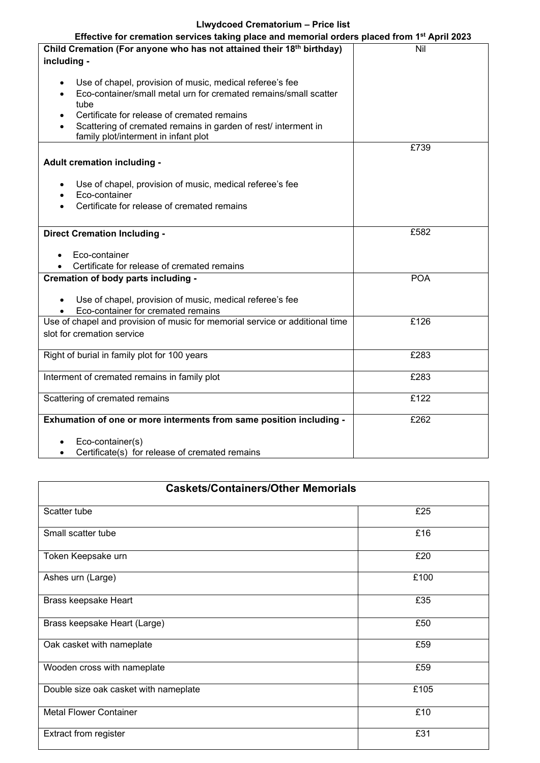## **Llwydcoed Crematorium – Price list**

| Effective for cremation services taking place and memorial orders placed from 1st April 2023 |            |  |
|----------------------------------------------------------------------------------------------|------------|--|
| Child Cremation (For anyone who has not attained their 18 <sup>th</sup> birthday)            | Nil        |  |
| including -                                                                                  |            |  |
|                                                                                              |            |  |
| Use of chapel, provision of music, medical referee's fee                                     |            |  |
| Eco-container/small metal urn for cremated remains/small scatter                             |            |  |
| tube                                                                                         |            |  |
| Certificate for release of cremated remains                                                  |            |  |
| Scattering of cremated remains in garden of rest/ interment in                               |            |  |
| family plot/interment in infant plot                                                         |            |  |
|                                                                                              | £739       |  |
| Adult cremation including -                                                                  |            |  |
|                                                                                              |            |  |
| Use of chapel, provision of music, medical referee's fee                                     |            |  |
| Eco-container                                                                                |            |  |
| Certificate for release of cremated remains                                                  |            |  |
|                                                                                              |            |  |
| <b>Direct Cremation Including -</b>                                                          | £582       |  |
|                                                                                              |            |  |
| Eco-container                                                                                |            |  |
| Certificate for release of cremated remains                                                  |            |  |
| Cremation of body parts including -                                                          | <b>POA</b> |  |
|                                                                                              |            |  |
| Use of chapel, provision of music, medical referee's fee                                     |            |  |
| Eco-container for cremated remains                                                           |            |  |
| Use of chapel and provision of music for memorial service or additional time                 | £126       |  |
| slot for cremation service                                                                   |            |  |
|                                                                                              |            |  |
| Right of burial in family plot for 100 years                                                 | £283       |  |
|                                                                                              |            |  |
| Interment of cremated remains in family plot                                                 | £283       |  |
|                                                                                              |            |  |
| Scattering of cremated remains                                                               | £122       |  |
|                                                                                              |            |  |
| Exhumation of one or more interments from same position including -                          | £262       |  |
|                                                                                              |            |  |
| Eco-container(s)                                                                             |            |  |
| Certificate(s) for release of cremated remains<br>$\bullet$                                  |            |  |

| <b>Caskets/Containers/Other Memorials</b> |      |  |
|-------------------------------------------|------|--|
| Scatter tube                              | £25  |  |
| Small scatter tube                        | £16  |  |
| Token Keepsake urn                        | £20  |  |
| Ashes urn (Large)                         | £100 |  |
| Brass keepsake Heart                      | £35  |  |
| Brass keepsake Heart (Large)              | £50  |  |
| Oak casket with nameplate                 | £59  |  |
| Wooden cross with nameplate               | £59  |  |
| Double size oak casket with nameplate     | £105 |  |
| <b>Metal Flower Container</b>             | £10  |  |
| <b>Extract from register</b>              | £31  |  |